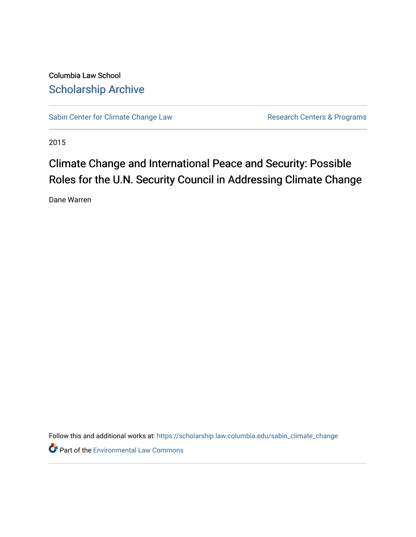Columbia Law School [Scholarship Archive](https://scholarship.law.columbia.edu/) 

[Sabin Center for Climate Change Law](https://scholarship.law.columbia.edu/sabin_climate_change) Research Centers & Programs

2015

## Climate Change and International Peace and Security: Possible Roles for the U.N. Security Council in Addressing Climate Change

Dane Warren

Follow this and additional works at: [https://scholarship.law.columbia.edu/sabin\\_climate\\_change](https://scholarship.law.columbia.edu/sabin_climate_change?utm_source=scholarship.law.columbia.edu%2Fsabin_climate_change%2F126&utm_medium=PDF&utm_campaign=PDFCoverPages) 

**Part of the [Environmental Law Commons](http://network.bepress.com/hgg/discipline/599?utm_source=scholarship.law.columbia.edu%2Fsabin_climate_change%2F126&utm_medium=PDF&utm_campaign=PDFCoverPages)**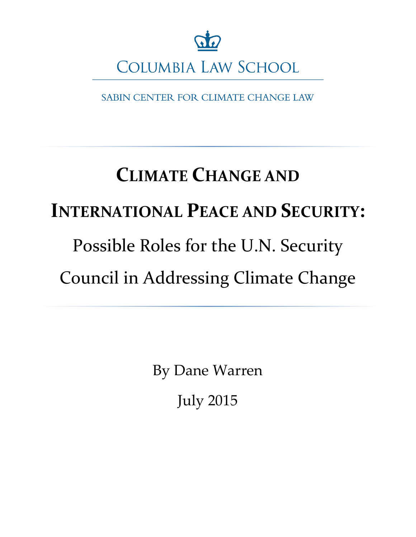

SABIN CENTER FOR CLIMATE CHANGE LAW

# **CLIMATE CHANGE AND INTERNATIONAL PEACE AND SECURITY:** Possible Roles for the U.N. Security Council in Addressing Climate Change

By Dane Warren July 2015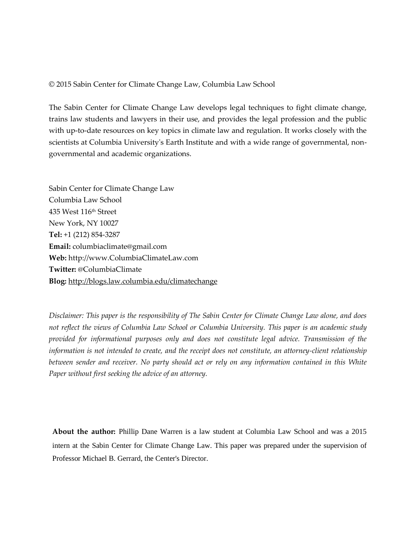### © 2015 Sabin Center for Climate Change Law, Columbia Law School

The Sabin Center for Climate Change Law develops legal techniques to fight climate change, trains law students and lawyers in their use, and provides the legal profession and the public with up-to-date resources on key topics in climate law and regulation. It works closely with the scientists at Columbia University's Earth Institute and with a wide range of governmental, nongovernmental and academic organizations.

Sabin Center for Climate Change Law Columbia Law School 435 West 116th Street New York, NY 10027 **Tel:** +1 (212) 854-3287 **Email:** columbiaclimate@gmail.com **Web:** http://www.ColumbiaClimateLaw.com **Twitter:** @ColumbiaClimate **Blog:** <http://blogs.law.columbia.edu/climatechange>

*Disclaimer: This paper is the responsibility of The Sabin Center for Climate Change Law alone, and does not reflect the views of Columbia Law School or Columbia University. This paper is an academic study provided for informational purposes only and does not constitute legal advice. Transmission of the information is not intended to create, and the receipt does not constitute, an attorney-client relationship between sender and receiver. No party should act or rely on any information contained in this White Paper without first seeking the advice of an attorney.* 

**About the author:** Phillip Dane Warren is a law student at Columbia Law School and was a 2015 intern at the Sabin Center for Climate Change Law. This paper was prepared under the supervision of Professor Michael B. Gerrard, the Center's Director.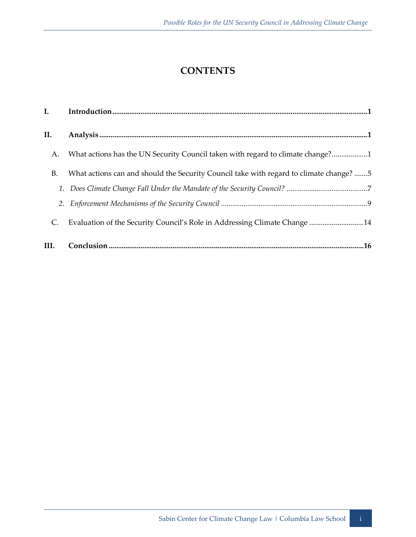## **CONTENTS**

| I.   |                                                                                        |
|------|----------------------------------------------------------------------------------------|
| II.  |                                                                                        |
| А.   | What actions has the UN Security Council taken with regard to climate change?1         |
| В.   | What actions can and should the Security Council take with regard to climate change? 5 |
|      |                                                                                        |
|      |                                                                                        |
| C.   | Evaluation of the Security Council's Role in Addressing Climate Change 14              |
| III. |                                                                                        |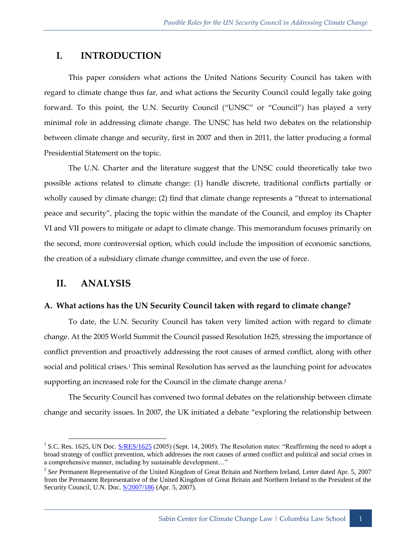## <span id="page-4-0"></span>**I. INTRODUCTION**

This paper considers what actions the United Nations Security Council has taken with regard to climate change thus far, and what actions the Security Council could legally take going forward. To this point, the U.N. Security Council ("UNSC" or "Council") has played a very minimal role in addressing climate change. The UNSC has held two debates on the relationship between climate change and security, first in 2007 and then in 2011, the latter producing a formal Presidential Statement on the topic.

The U.N. Charter and the literature suggest that the UNSC could theoretically take two possible actions related to climate change: (1) handle discrete, traditional conflicts partially or wholly caused by climate change; (2) find that climate change represents a "threat to international peace and security", placing the topic within the mandate of the Council, and employ its Chapter VI and VII powers to mitigate or adapt to climate change. This memorandum focuses primarily on the second, more controversial option, which could include the imposition of economic sanctions, the creation of a subsidiary climate change committee, and even the use of force.

## <span id="page-4-1"></span>**II. ANALYSIS**

## <span id="page-4-2"></span>**A. What actions has the UN Security Council taken with regard to climate change?**

To date, the U.N. Security Council has taken very limited action with regard to climate change. At the 2005 World Summit the Council passed Resolution 1625, stressing the importance of conflict prevention and proactively addressing the root causes of armed conflict, along with other social and political crises.<sup>1</sup> This seminal Resolution has served as the launching point for advocates supporting an increased role for the Council in the climate change arena.<sup>2</sup>

The Security Council has convened two formal debates on the relationship between climate change and security issues. In 2007, the UK initiated a debate "exploring the relationship between

<sup>&</sup>lt;sup>1</sup> S.C. Res. 1625, UN Doc.  $S/RES/1625$  (2005) (Sept. 14, 2005). The Resolution states: "Reaffirming the need to adopt a broad strategy of conflict prevention, which addresses the root causes of armed conflict and political and social crises in a comprehensive manner, including by sustainable development…"

<sup>&</sup>lt;sup>2</sup> See Permanent Representative of the United Kingdom of Great Britain and Northern Ireland, Letter dated Apr. 5, 2007 from the Permanent Representative of the United Kingdom of Great Britain and Northern Ireland to the President of the Security Council, U.N. Doc. [S/2007/186](http://www.un.org/en/ga/search/view_doc.asp?symbol=S/2007/186) (Apr. 5, 2007).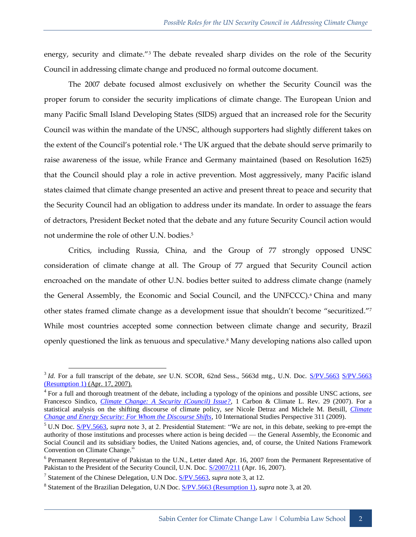energy, security and climate."<sup>3</sup> The debate revealed sharp divides on the role of the Security Council in addressing climate change and produced no formal outcome document.

The 2007 debate focused almost exclusively on whether the Security Council was the proper forum to consider the security implications of climate change. The European Union and many Pacific Small Island Developing States (SIDS) argued that an increased role for the Security Council was within the mandate of the UNSC, although supporters had slightly different takes on the extent of the Council's potential role. <sup>4</sup> The UK argued that the debate should serve primarily to raise awareness of the issue, while France and Germany maintained (based on Resolution 1625) that the Council should play a role in active prevention. Most aggressively, many Pacific island states claimed that climate change presented an active and present threat to peace and security that the Security Council had an obligation to address under its mandate. In order to assuage the fears of detractors, President Becket noted that the debate and any future Security Council action would not undermine the role of other U.N. bodies.<sup>5</sup>

Critics, including Russia, China, and the Group of 77 strongly opposed UNSC consideration of climate change at all. The Group of 77 argued that Security Council action encroached on the mandate of other U.N. bodies better suited to address climate change (namely the General Assembly, the Economic and Social Council, and the UNFCCC).<sup>6</sup> China and many other states framed climate change as a development issue that shouldn't become "securitized."<sup>7</sup> While most countries accepted some connection between climate change and security, Brazil openly questioned the link as tenuous and speculative.<sup>8</sup> Many developing nations also called upon

<sup>&</sup>lt;sup>3</sup> *Id.* For a full transcript of the debate, *see* U.N. SCOR, 62nd Sess., 5663d mtg., U.N. Doc. [S/PV.5663](http://www.un.org/en/ga/search/view_doc.asp?symbol=S/PV.5663) S/PV.5663 [\(Resumption 1\)](http://www.un.org/en/ga/search/view_doc.asp?symbol=S/PV.5663(Resumption1)) (Apr. 17, 2007).

<sup>4</sup> For a full and thorough treatment of the debate, including a typology of the opinions and possible UNSC actions, *see* Francesco Sindico, *[Climate Change: A Security \(Council\) Issue?](http://papers.ssrn.com/sol3/papers.cfm?abstract_id=1013186)*, 1 Carbon & Climate L. Rev. 29 (2007). For a statistical analysis on the shifting discourse of climate policy, *see* Nicole Detraz and Michele M. Betsill, *[Climate](http://onlinelibrary.wiley.com/doi/10.1111/j.1528-3585.2009.00378.x/epdf)  Change [and Energy Security: For Whom the Discourse Shifts](http://onlinelibrary.wiley.com/doi/10.1111/j.1528-3585.2009.00378.x/epdf)*, 10 International Studies Perspective 311 (2009).

<sup>5</sup> U.N Doc. [S/PV.5663,](http://www.un.org/en/ga/search/view_doc.asp?symbol=S/PV.5663) *supra* note 3, at 2. Presidential Statement: "We are not, in this debate, seeking to pre-empt the authority of those institutions and processes where action is being decided — the General Assembly, the Economic and Social Council and its subsidiary bodies, the United Nations agencies, and, of course, the United Nations Framework Convention on Climate Change."

<sup>&</sup>lt;sup>6</sup> Permanent Representative of Pakistan to the U.N., Letter dated Apr. 16, 2007 from the Permanent Representative of Pakistan to the President of the Security Council, U.N. Doc.  $S/2007/211$  (Apr. 16, 2007).

<sup>&</sup>lt;sup>7</sup> Statement of the Chinese Delegation, U.N Doc. [S/PV.5663,](http://www.un.org/en/ga/search/view_doc.asp?symbol=S/PV.5663) *supra* note 3, at 12.

<sup>8</sup> Statement of the Brazilian Delegation, U.N Doc[. S/PV.5663 \(Resumption 1\),](http://www.un.org/en/ga/search/view_doc.asp?symbol=S/PV.5663(Resumption1)) *supra* note 3, at 20.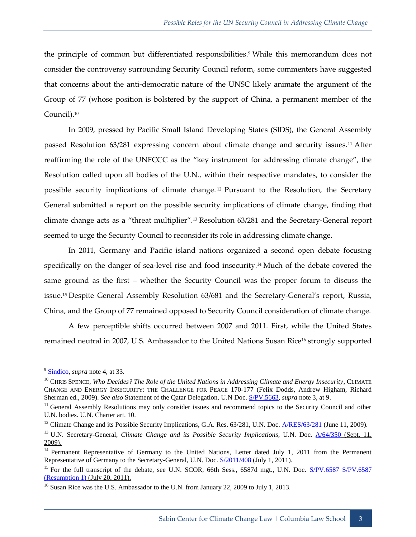the principle of common but differentiated responsibilities.<sup>9</sup> While this memorandum does not consider the controversy surrounding Security Council reform, some commenters have suggested that concerns about the anti-democratic nature of the UNSC likely animate the argument of the Group of 77 (whose position is bolstered by the support of China, a permanent member of the Council). 10

In 2009, pressed by Pacific Small Island Developing States (SIDS), the General Assembly passed Resolution 63/281 expressing concern about climate change and security issues.<sup>11</sup> After reaffirming the role of the UNFCCC as the "key instrument for addressing climate change", the Resolution called upon all bodies of the U.N., within their respective mandates, to consider the possible security implications of climate change. <sup>12</sup> Pursuant to the Resolution, the Secretary General submitted a report on the possible security implications of climate change, finding that climate change acts as a "threat multiplier".<sup>13</sup> Resolution 63/281 and the Secretary-General report seemed to urge the Security Council to reconsider its role in addressing climate change.

In 2011, Germany and Pacific island nations organized a second open debate focusing specifically on the danger of sea-level rise and food insecurity.<sup>14</sup> Much of the debate covered the same ground as the first – whether the Security Council was the proper forum to discuss the issue.<sup>15</sup> Despite General Assembly Resolution 63/681 and the Secretary-General's report, Russia, China, and the Group of 77 remained opposed to Security Council consideration of climate change.

A few perceptible shifts occurred between 2007 and 2011. First, while the United States remained neutral in 2007, U.S. Ambassador to the United Nations Susan Rice<sup>16</sup> strongly supported

<sup>9</sup> [Sindico,](http://papers.ssrn.com/sol3/papers.cfm?abstract_id=1013186) *supra* note 4, at 33.

<sup>&</sup>lt;sup>10</sup> CHRIS SPENCE, *Who Decides? The Role of the United Nations in Addressing Climate and Energy Insecurity*, CLIMATE CHANGE AND ENERGY INSECURITY: THE CHALLENGE FOR PEACE 170-177 (Felix Dodds, Andrew Higham, Richard Sherman ed., 2009). *See also* Statement of the Qatar Delegation, U.N Doc. [S/PV.5663,](http://www.un.org/en/ga/search/view_doc.asp?symbol=S/PV.5663) *supra* note 3, at 9.

<sup>&</sup>lt;sup>11</sup> General Assembly Resolutions may only consider issues and recommend topics to the Security Council and other U.N. bodies. U.N. Charter art. 10.

<sup>&</sup>lt;sup>12</sup> Climate Change and its Possible Security Implications, G.A. Res. 63/281, U.N. Doc.  $\frac{A/RES/63/281}{A}$  (June 11, 2009).

<sup>13</sup> U.N. Secretary-General, *Climate Change and its Possible Security Implications*, U.N. Doc. [A/64/350](http://www.un.org/en/ga/search/view_doc.asp?symbol=A/64/350) (Sept. 11, 2009).

<sup>&</sup>lt;sup>14</sup> Permanent Representative of Germany to the United Nations, Letter dated July 1, 2011 from the Permanent Representative of Germany to the Secretary-General, U.N. Doc.  $S/2011/408$  (July 1, 2011).

<sup>&</sup>lt;sup>15</sup> For the full transcript of the debate, see U.N. SCOR, 66th Sess., 6587d mgt., U.N. Doc. [S/PV.6587](http://www.un.org/en/ga/search/view_doc.asp?symbol=S/PV.6587) S/PV.6587 [\(Resumption 1\)](http://www.un.org/en/ga/search/view_doc.asp?symbol=S/PV.6587(Resumption1)) (July 20, 2011).

<sup>&</sup>lt;sup>16</sup> Susan Rice was the U.S. Ambassador to the U.N. from January 22, 2009 to July 1, 2013.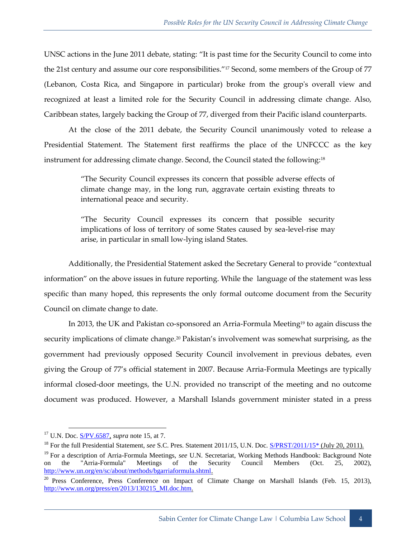UNSC actions in the June 2011 debate, stating: "It is past time for the Security Council to come into the 21st century and assume our core responsibilities."<sup>17</sup> Second, some members of the Group of 77 (Lebanon, Costa Rica, and Singapore in particular) broke from the group's overall view and recognized at least a limited role for the Security Council in addressing climate change. Also, Caribbean states, largely backing the Group of 77, diverged from their Pacific island counterparts.

At the close of the 2011 debate, the Security Council unanimously voted to release a Presidential Statement. The Statement first reaffirms the place of the UNFCCC as the key instrument for addressing climate change. Second, the Council stated the following:<sup>18</sup>

> "The Security Council expresses its concern that possible adverse effects of climate change may, in the long run, aggravate certain existing threats to international peace and security.

> "The Security Council expresses its concern that possible security implications of loss of territory of some States caused by sea-level-rise may arise, in particular in small low-lying island States.

Additionally, the Presidential Statement asked the Secretary General to provide "contextual information" on the above issues in future reporting. While the language of the statement was less specific than many hoped, this represents the only formal outcome document from the Security Council on climate change to date.

In 2013, the UK and Pakistan co-sponsored an Arria-Formula Meeting<sup>19</sup> to again discuss the security implications of climate change.<sup>20</sup> Pakistan's involvement was somewhat surprising, as the government had previously opposed Security Council involvement in previous debates, even giving the Group of 77's official statement in 2007. Because Arria-Formula Meetings are typically informal closed-door meetings, the U.N. provided no transcript of the meeting and no outcome document was produced. However, a Marshall Islands government minister stated in a press

<sup>17</sup> U.N. Doc. [S/PV.6587,](http://www.un.org/en/ga/search/view_doc.asp?symbol=S/PV.6587) *supra* note 15, at 7.

<sup>&</sup>lt;sup>18</sup> For the full Presidential Statement, *see* S.C. Pres. Statement 2011/15, U.N. Doc. **S/PRST/2011/15\*** (July 20, 2011).

<sup>&</sup>lt;sup>19</sup> For a description of Arria-Formula Meetings, *see* U.N. Secretariat, Working Methods Handbook: Background Note on the "Arria-Formula" Meetings of the Security Council Members (Oct. 25, 2002), [http://www.un.org/en/sc/about/methods/bgarriaformula.shtml.](http://www.un.org/en/sc/about/methods/bgarriaformula.shtml)

<sup>&</sup>lt;sup>20</sup> Press Conference, Press Conference on Impact of Climate Change on Marshall Islands (Feb. 15, 2013), [http://www.un.org/press/en/2013/130215\\_MI.doc.htm.](http://www.un.org/press/en/2013/130215_MI.doc.htm)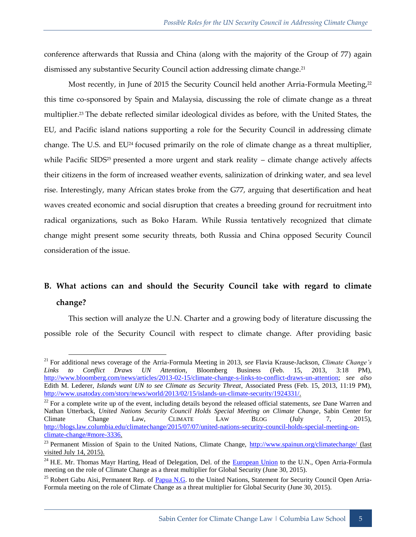conference afterwards that Russia and China (along with the majority of the Group of 77) again dismissed any substantive Security Council action addressing climate change.<sup>21</sup>

Most recently, in June of 2015 the Security Council held another Arria-Formula Meeting,<sup>22</sup> this time co-sponsored by Spain and Malaysia, discussing the role of climate change as a threat multiplier.<sup>23</sup> The debate reflected similar ideological divides as before, with the United States, the EU, and Pacific island nations supporting a role for the Security Council in addressing climate change. The U.S. and EU<sup>24</sup> focused primarily on the role of climate change as a threat multiplier, while Pacific SIDS<sup>25</sup> presented a more urgent and stark reality – climate change actively affects their citizens in the form of increased weather events, salinization of drinking water, and sea level rise. Interestingly, many African states broke from the G77, arguing that desertification and heat waves created economic and social disruption that creates a breeding ground for recruitment into radical organizations, such as Boko Haram. While Russia tentatively recognized that climate change might present some security threats, both Russia and China opposed Security Council consideration of the issue.

## <span id="page-8-0"></span>**B. What actions can and should the Security Council take with regard to climate change?**

This section will analyze the U.N. Charter and a growing body of literature discussing the possible role of the Security Council with respect to climate change. After providing basic

<sup>21</sup> For additional news coverage of the Arria-Formula Meeting in 2013, *see* Flavia Krause-Jackson, *Climate Change's Links to Conflict Draws UN Attention*, Bloomberg Business (Feb. 15, 2013, 3:18 PM), [http://www.bloomberg.com/news/articles/2013-02-15/climate-change-s-links-to-conflict-draws-un-attention;](http://www.bloomberg.com/news/articles/2013-02-15/climate-change-s-links-to-conflict-draws-un-attention) *see also* Edith M. Lederer, *Islands want UN to see Climate as Security Threat*, Associated Press (Feb. 15, 2013, 11:19 PM), [http://www.usatoday.com/story/news/world/2013/02/15/islands-un-climate-security/1924331/.](http://www.usatoday.com/story/news/world/2013/02/15/islands-un-climate-security/1924331/)

<sup>&</sup>lt;sup>22</sup> For a complete write up of the event, including details beyond the released official statements, *see* Dane Warren and Nathan Utterback, *United Nations Security Council Holds Special Meeting on Climate Change*, Sabin Center for Climate Change Law, CLIMATE LAW BLOG (July 7, 2015), [http://blogs.law.columbia.edu/climatechange/2015/07/07/united-nations-security-council-holds-special-meeting-on](http://blogs.law.columbia.edu/climatechange/2015/07/07/united-nations-security-council-holds-special-meeting-on-climate-change/#more-3336)[climate-change/#more-3336.](http://blogs.law.columbia.edu/climatechange/2015/07/07/united-nations-security-council-holds-special-meeting-on-climate-change/#more-3336)

<sup>&</sup>lt;sup>23</sup> Permanent Mission of Spain to the United Nations, Climate Change,<http://www.spainun.org/climatechange/> (last visited July 14, 2015).

<sup>&</sup>lt;sup>24</sup> H.E. Mr. Thomas Mayr Harting, Head of Delegation, Del. of the [European Union](http://www.spainun.org/wp-content/uploads/2015/07/European-Union_CC_201506.pdf) to the U.N., Open Arria-Formula meeting on the role of Climate Change as a threat multiplier for Global Security (June 30, 2015).

<sup>&</sup>lt;sup>25</sup> Robert Gabu Aisi, Permanent Rep. of [Papua N.G.](http://www.spainun.org/wp-content/uploads/2015/07/Papua-New-Guinea_CC_201506.pdf) to the United Nations, Statement for Security Council Open Arria-Formula meeting on the role of Climate Change as a threat multiplier for Global Security (June 30, 2015).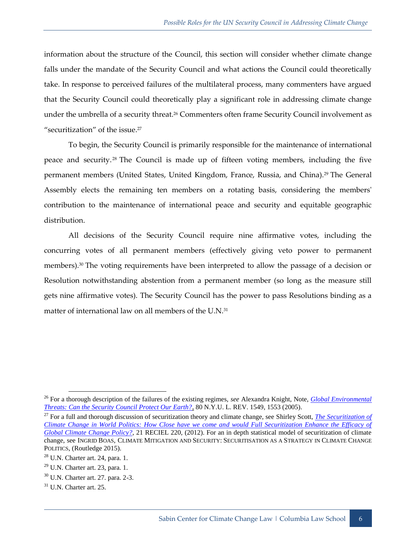information about the structure of the Council, this section will consider whether climate change falls under the mandate of the Security Council and what actions the Council could theoretically take. In response to perceived failures of the multilateral process, many commenters have argued that the Security Council could theoretically play a significant role in addressing climate change under the umbrella of a security threat.<sup>26</sup> Commenters often frame Security Council involvement as "securitization" of the issue.<sup>27</sup>

To begin, the Security Council is primarily responsible for the maintenance of international peace and security. <sup>28</sup> The Council is made up of fifteen voting members, including the five permanent members (United States, United Kingdom, France, Russia, and China).<sup>29</sup> The General Assembly elects the remaining ten members on a rotating basis, considering the members' contribution to the maintenance of international peace and security and equitable geographic distribution.

All decisions of the Security Council require nine affirmative votes, including the concurring votes of all permanent members (effectively giving veto power to permanent members).<sup>30</sup> The voting requirements have been interpreted to allow the passage of a decision or Resolution notwithstanding abstention from a permanent member (so long as the measure still gets nine affirmative votes). The Security Council has the power to pass Resolutions binding as a matter of international law on all members of the U.N.<sup>31</sup>

<sup>26</sup> For a thorough description of the failures of the existing regimes, *see* Alexandra Knight, Note, *[Global Environmental](http://www.nyulawreview.org/sites/default/files/pdf/NYULawReview-80-5-Knight.pdf)  [Threats: Can the Security Council Protect Our Earth?](http://www.nyulawreview.org/sites/default/files/pdf/NYULawReview-80-5-Knight.pdf)*, 80 N.Y.U. L. REV. 1549, 1553 (2005).

<sup>27</sup> For a full and thorough discussion of securitization theory and climate change, see Shirley Scott, *[The Securitization of](http://onlinelibrary.wiley.com/doi/10.1111/reel.12008/full)  [Climate Change in World Politics: How Close have we come and would Full Securitization Enhance the Efficacy of](http://onlinelibrary.wiley.com/doi/10.1111/reel.12008/full)  [Global Climate Change Policy?](http://onlinelibrary.wiley.com/doi/10.1111/reel.12008/full)*, 21 RECIEL 220, (2012). For an in depth statistical model of securitization of climate change, see INGRID BOAS, CLIMATE MITIGATION AND SECURITY: SECURITISATION AS A STRATEGY IN CLIMATE CHANGE POLITICS, (Routledge 2015).

 $28$  U.N. Charter art. 24, para. 1.

 $^{29}$  U.N. Charter art. 23, para. 1.

<sup>30</sup> U.N. Charter art. 27. para. 2-3.

 $31$  U.N. Charter art. 25.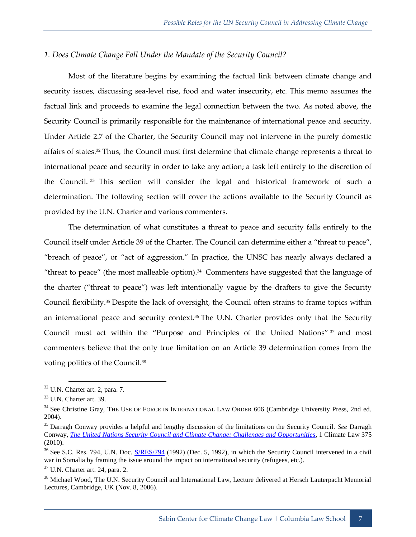## <span id="page-10-0"></span>*1. Does Climate Change Fall Under the Mandate of the Security Council?*

Most of the literature begins by examining the factual link between climate change and security issues, discussing sea-level rise, food and water insecurity, etc. This memo assumes the factual link and proceeds to examine the legal connection between the two. As noted above, the Security Council is primarily responsible for the maintenance of international peace and security. Under Article 2.7 of the Charter, the Security Council may not intervene in the purely domestic affairs of states.<sup>32</sup> Thus, the Council must first determine that climate change represents a threat to international peace and security in order to take any action; a task left entirely to the discretion of the Council. <sup>33</sup> This section will consider the legal and historical framework of such a determination. The following section will cover the actions available to the Security Council as provided by the U.N. Charter and various commenters.

The determination of what constitutes a threat to peace and security falls entirely to the Council itself under Article 39 of the Charter. The Council can determine either a "threat to peace", "breach of peace", or "act of aggression." In practice, the UNSC has nearly always declared a "threat to peace" (the most malleable option). $34$  Commenters have suggested that the language of the charter ("threat to peace") was left intentionally vague by the drafters to give the Security Council flexibility.<sup>35</sup> Despite the lack of oversight, the Council often strains to frame topics within an international peace and security context.<sup>36</sup> The U.N. Charter provides only that the Security Council must act within the "Purpose and Principles of the United Nations" <sup>37</sup> and most commenters believe that the only true limitation on an Article 39 determination comes from the voting politics of the Council.<sup>38</sup>

<sup>32</sup> U.N. Charter art. 2, para. 7.

<sup>33</sup> U.N. Charter art. 39.

<sup>&</sup>lt;sup>34</sup> See Christine Gray, THE USE OF FORCE IN INTERNATIONAL LAW ORDER 606 (Cambridge University Press, 2nd ed. 2004).

<sup>35</sup> Darragh Conway provides a helpful and lengthy discussion of the limitations on the Security Council. *See* Darragh Conway, *[The United Nations Security Council and Climate Change: Challenges and Opportunities](http://www.researchgate.net/publication/228747778_The_United_Nations_Security_Council_and_climate_change_Challenges_and_opportunities)*, 1 Climate Law 375 (2010).

<sup>&</sup>lt;sup>36</sup> See S.C. Res. 794, U.N. Doc. **S/RES/794** (1992) (Dec. 5, 1992), in which the Security Council intervened in a civil war in Somalia by framing the issue around the impact on international security (refugees, etc.).

 $37$  U.N. Charter art. 24, para. 2.

<sup>&</sup>lt;sup>38</sup> Michael Wood, The U.N. Security Council and International Law, Lecture delivered at Hersch Lauterpacht Memorial Lectures, Cambridge, UK (Nov. 8, 2006).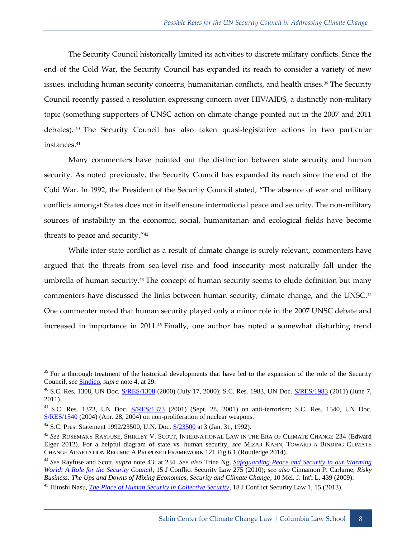The Security Council historically limited its activities to discrete military conflicts. Since the end of the Cold War, the Security Council has expanded its reach to consider a variety of new issues, including human security concerns, humanitarian conflicts, and health crises.<sup>39</sup> The Security Council recently passed a resolution expressing concern over HIV/AIDS, a distinctly non-military topic (something supporters of UNSC action on climate change pointed out in the 2007 and 2011 debates).  $40$  The Security Council has also taken quasi-legislative actions in two particular instances.<sup>41</sup>

Many commenters have pointed out the distinction between state security and human security. As noted previously, the Security Council has expanded its reach since the end of the Cold War. In 1992, the President of the Security Council stated, "The absence of war and military conflicts amongst States does not in itself ensure international peace and security. The non-military sources of instability in the economic, social, humanitarian and ecological fields have become threats to peace and security."<sup>42</sup>

While inter-state conflict as a result of climate change is surely relevant, commenters have argued that the threats from sea-level rise and food insecurity most naturally fall under the umbrella of human security.<sup>43</sup> The concept of human security seems to elude definition but many commenters have discussed the links between human security, climate change, and the UNSC.<sup>44</sup> One commenter noted that human security played only a minor role in the 2007 UNSC debate and increased in importance in 2011.<sup>45</sup> Finally, one author has noted a somewhat disturbing trend

 $39$  For a thorough treatment of the historical developments that have led to the expansion of the role of the Security Council, *see* [Sindico,](http://papers.ssrn.com/sol3/papers.cfm?abstract_id=1013186) *supra* note 4, at 29.

<sup>40</sup> S.C. Res. 1308, UN Doc. [S/RES/1308](http://www.un.org/en/ga/search/view_doc.asp?symbol=S/RES/1308(2000)) (2000) (July 17, 2000); S.C. Res. 1983, UN Doc. [S/RES/1983](http://www.un.org/en/ga/search/view_doc.asp?symbol=S/RES/1983(2011)) (2011) (June 7, 2011).

<sup>&</sup>lt;sup>41</sup> S.C. Res. 1373, UN Doc. [S/RES/1373](http://www.un.org/en/ga/search/view_doc.asp?symbol=S/RES/1373(2001)) (2001) (Sept. 28, 2001) on anti-terrorism; S.C. Res. 1540, UN Doc. [S/RES/1540](http://www.un.org/en/ga/search/view_doc.asp?symbol=S/RES/1540(2004)) (2004) (Apr. 28, 2004) on non-proliferation of nuclear weapons.

<sup>&</sup>lt;sup>42</sup> S.C. Pres. Statement 1992/23500, U.N. Doc.  $\frac{S/23500}{S}$  at 3 (Jan. 31, 1992).

<sup>43</sup> *See* ROSEMARY RAYFUSE, SHIRLEY V. SCOTT*,* INTERNATIONAL LAW IN THE ERA OF CLIMATE CHANGE 234 (Edward Elger 2012). For a helpful diagram of state vs. human security, *see* MIZAR KAHN, TOWARD A BINDING CLIMATE CHANGE ADAPTATION REGIME: A PROPOSED FRAMEWORK 121 Fig.6.1 (Routledge 2014).

<sup>&</sup>lt;sup>44</sup> See Rayfuse and Scott, *supra* note 43, at 234. See also Trina Ng, **[Safeguarding Peace and Security](http://jcsl.oxfordjournals.org/content/15/2/275.full.pdf+html) in our Warming** *[World: A Role for the Security Council](http://jcsl.oxfordjournals.org/content/15/2/275.full.pdf+html)*, 15 J Conflict Security Law 275 (2010); *see also* Cinnamon P. Carlarne, *Risky Business: The Ups and Downs of Mixing Economics, Security and Climate Change*, 10 Mel. J. Int'l L. 439 (2009).

<sup>45</sup> Hitoshi Nasu, *[The Place of Human Security in Collective Security](http://jcsl.oxfordjournals.org/content/early/2012/09/25/jcsl.krs026.full.pdf+html)*, 18 J Conflict Security Law 1, 15 (2013).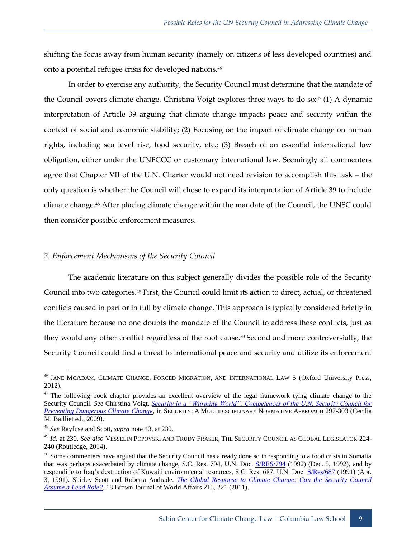shifting the focus away from human security (namely on citizens of less developed countries) and onto a potential refugee crisis for developed nations.<sup>46</sup>

In order to exercise any authority, the Security Council must determine that the mandate of the Council covers climate change. Christina Voigt explores three ways to do so: $47$  (1) A dynamic interpretation of Article 39 arguing that climate change impacts peace and security within the context of social and economic stability; (2) Focusing on the impact of climate change on human rights, including sea level rise, food security, etc.; (3) Breach of an essential international law obligation, either under the UNFCCC or customary international law. Seemingly all commenters agree that Chapter VII of the U.N. Charter would not need revision to accomplish this task – the only question is whether the Council will chose to expand its interpretation of Article 39 to include climate change.<sup>48</sup> After placing climate change within the mandate of the Council, the UNSC could then consider possible enforcement measures.

## <span id="page-12-0"></span>*2. Enforcement Mechanisms of the Security Council*

The academic literature on this subject generally divides the possible role of the Security Council into two categories.<sup>49</sup> First, the Council could limit its action to direct, actual, or threatened conflicts caused in part or in full by climate change. This approach is typically considered briefly in the literature because no one doubts the mandate of the Council to address these conflicts, just as they would any other conflict regardless of the root cause.<sup>50</sup> Second and more controversially, the Security Council could find a threat to international peace and security and utilize its enforcement

<sup>&</sup>lt;sup>46</sup> JANE MCADAM, CLIMATE CHANGE, FORCED MIGRATION, AND INTERNATIONAL LAW 5 (Oxford University Press, 2012).

<sup>&</sup>lt;sup>47</sup> The following book chapter provides an excellent overview of the legal framework tying climate change to the Security Council. *See* Chirstina Voigt, *[Security in a "Warming World": Competences of the U.N. Security Council for](http://www.uio.no/studier/emner/jus/jus/JUS5911/v14/undervisningsmateriale/security-in-a-warming-world-final.pdf)  [Preventing Dangerous Climate Change](http://www.uio.no/studier/emner/jus/jus/JUS5911/v14/undervisningsmateriale/security-in-a-warming-world-final.pdf)*, in SECURITY: A MULTIDISCIPLINARY NORMATIVE APPROACH 297-303 (Cecilia M. Bailliet ed., 2009).

<sup>48</sup> *See* Rayfuse and Scott, *supra* note 43, at 230.

<sup>49</sup> *Id.* at 230. *See also* VESSELIN POPOVSKI AND TRUDY FRASER, THE SECURITY COUNCIL AS GLOBAL LEGISLATOR 224- 240 (Routledge, 2014).

<sup>&</sup>lt;sup>50</sup> Some commenters have argued that the Security Council has already done so in responding to a food crisis in Somalia that was perhaps exacerbated by climate change, S.C. Res. 794, U.N. Doc.  $S/RES/794$  (1992) (Dec. 5, 1992), and by responding to Iraq's destruction of Kuwaiti environmental resources, S.C. Res. 687, U.N. Doc. [S/Res/687](http://www.un.org/en/ga/search/view_doc.asp?symbol=S/RES/687(1991)) (1991) (Apr. 3, 1991). Shirley Scott and Roberta Andrade, *[The Global Response to Climate Change: Can the Security Council](http://www.academia.edu/11935688/with_Shirley_V._Scott_The_Global_Response_to_Climate_Change_Can_the_Security_Council_Assume_a_Lead_Role)  [Assume a Lead Role?](http://www.academia.edu/11935688/with_Shirley_V._Scott_The_Global_Response_to_Climate_Change_Can_the_Security_Council_Assume_a_Lead_Role)*, 18 Brown Journal of World Affairs 215, 221 (2011).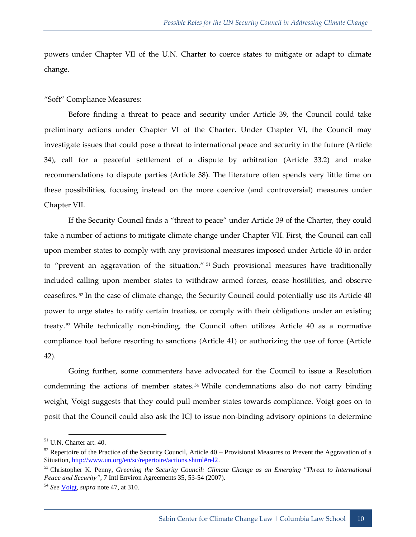powers under Chapter VII of the U.N. Charter to coerce states to mitigate or adapt to climate change.

#### "Soft" Compliance Measures:

Before finding a threat to peace and security under Article 39, the Council could take preliminary actions under Chapter VI of the Charter. Under Chapter VI, the Council may investigate issues that could pose a threat to international peace and security in the future (Article 34), call for a peaceful settlement of a dispute by arbitration (Article 33.2) and make recommendations to dispute parties (Article 38). The literature often spends very little time on these possibilities, focusing instead on the more coercive (and controversial) measures under Chapter VII.

If the Security Council finds a "threat to peace" under Article 39 of the Charter, they could take a number of actions to mitigate climate change under Chapter VII. First, the Council can call upon member states to comply with any provisional measures imposed under Article 40 in order to "prevent an aggravation of the situation." <sup>51</sup> Such provisional measures have traditionally included calling upon member states to withdraw armed forces, cease hostilities, and observe ceasefires. <sup>52</sup> In the case of climate change, the Security Council could potentially use its Article 40 power to urge states to ratify certain treaties, or comply with their obligations under an existing treaty. <sup>53</sup> While technically non-binding, the Council often utilizes Article 40 as a normative compliance tool before resorting to sanctions (Article 41) or authorizing the use of force (Article 42).

Going further, some commenters have advocated for the Council to issue a Resolution condemning the actions of member states.<sup>54</sup> While condemnations also do not carry binding weight, Voigt suggests that they could pull member states towards compliance. Voigt goes on to posit that the Council could also ask the ICJ to issue non-binding advisory opinions to determine

<sup>51</sup> U.N. Charter art. 40.

 $52$  Repertoire of the Practice of the Security Council, Article 40 – Provisional Measures to Prevent the Aggravation of a Situation, [http://www.un.org/en/sc/repertoire/actions.shtml#rel2.](http://www.un.org/en/sc/repertoire/actions.shtml#rel2)

<sup>53</sup> Christopher K. Penny, *Greening the Security Council: Climate Change as an Emerging "Threat to International Peace and Security"*, 7 Intl Environ Agreements 35, 53-54 (2007).

<sup>54</sup> *See* [Voigt,](http://www.uio.no/studier/emner/jus/jus/JUS5911/v14/undervisningsmateriale/security-in-a-warming-world-final.pdf) *supra* note 47, at 310.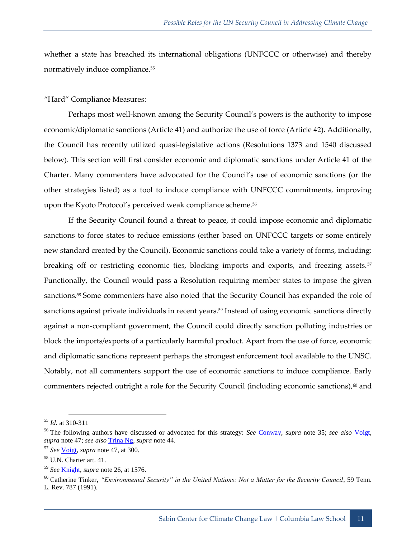whether a state has breached its international obligations (UNFCCC or otherwise) and thereby normatively induce compliance.<sup>55</sup>

#### "Hard" Compliance Measures:

Perhaps most well-known among the Security Council's powers is the authority to impose economic/diplomatic sanctions (Article 41) and authorize the use of force (Article 42). Additionally, the Council has recently utilized quasi-legislative actions (Resolutions 1373 and 1540 discussed below). This section will first consider economic and diplomatic sanctions under Article 41 of the Charter. Many commenters have advocated for the Council's use of economic sanctions (or the other strategies listed) as a tool to induce compliance with UNFCCC commitments, improving upon the Kyoto Protocol's perceived weak compliance scheme.<sup>56</sup>

If the Security Council found a threat to peace, it could impose economic and diplomatic sanctions to force states to reduce emissions (either based on UNFCCC targets or some entirely new standard created by the Council). Economic sanctions could take a variety of forms, including: breaking off or restricting economic ties, blocking imports and exports, and freezing assets.<sup>57</sup> Functionally, the Council would pass a Resolution requiring member states to impose the given sanctions.<sup>58</sup> Some commenters have also noted that the Security Council has expanded the role of sanctions against private individuals in recent years.<sup>59</sup> Instead of using economic sanctions directly against a non-compliant government, the Council could directly sanction polluting industries or block the imports/exports of a particularly harmful product. Apart from the use of force, economic and diplomatic sanctions represent perhaps the strongest enforcement tool available to the UNSC. Notably, not all commenters support the use of economic sanctions to induce compliance. Early commenters rejected outright a role for the Security Council (including economic sanctions), $60$  and

<sup>-</sup><sup>55</sup> *Id.* at 310-311

<sup>56</sup> The following authors have discussed or advocated for this strategy: *See* [Conway,](http://www.researchgate.net/publication/228747778_The_United_Nations_Security_Council_and_climate_change_Challenges_and_opportunities) *supra* note 35; *see also* [Voigt,](http://www.uio.no/studier/emner/jus/jus/JUS5911/v14/undervisningsmateriale/security-in-a-warming-world-final.pdf) *supra* note 47; *see also* [Trina Ng,](http://jcsl.oxfordjournals.org/content/15/2/275.full.pdf+html) *supra* note 44.

<sup>57</sup> *See* [Voigt,](http://www.uio.no/studier/emner/jus/jus/JUS5911/v14/undervisningsmateriale/security-in-a-warming-world-final.pdf) *supra* note 47, at 300.

<sup>58</sup> U.N. Charter art. 41.

<sup>59</sup> *See* [Knight,](http://www.nyulawreview.org/sites/default/files/pdf/NYULawReview-80-5-Knight.pdf) *supra* note 26, at 1576.

<sup>60</sup> Catherine Tinker, *"Environmental Security" in the United Nations: Not a Matter for the Security Council*, 59 Tenn. L. Rev. 787 (1991).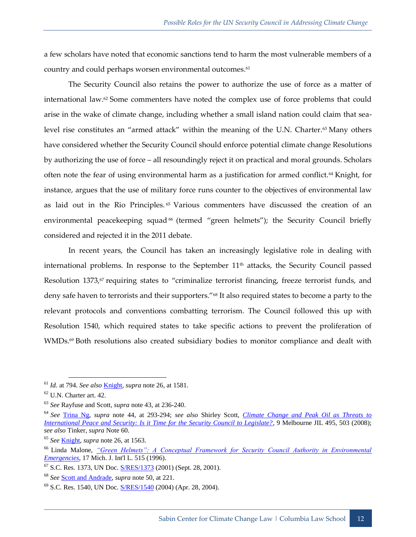a few scholars have noted that economic sanctions tend to harm the most vulnerable members of a country and could perhaps worsen environmental outcomes.<sup>61</sup>

The Security Council also retains the power to authorize the use of force as a matter of international law. $62$  Some commenters have noted the complex use of force problems that could arise in the wake of climate change, including whether a small island nation could claim that sealevel rise constitutes an "armed attack" within the meaning of the U.N. Charter.<sup>63</sup> Many others have considered whether the Security Council should enforce potential climate change Resolutions by authorizing the use of force – all resoundingly reject it on practical and moral grounds. Scholars often note the fear of using environmental harm as a justification for armed conflict.<sup>64</sup> Knight, for instance, argues that the use of military force runs counter to the objectives of environmental law as laid out in the Rio Principles. <sup>65</sup> Various commenters have discussed the creation of an environmental peacekeeping squad<sup>66</sup> (termed "green helmets"); the Security Council briefly considered and rejected it in the 2011 debate.

In recent years, the Council has taken an increasingly legislative role in dealing with international problems. In response to the September 11<sup>th</sup> attacks, the Security Council passed Resolution 1373,<sup>67</sup> requiring states to "criminalize terrorist financing, freeze terrorist funds, and deny safe haven to terrorists and their supporters."<sup>68</sup> It also required states to become a party to the relevant protocols and conventions combatting terrorism. The Council followed this up with Resolution 1540, which required states to take specific actions to prevent the proliferation of WMDs.<sup>69</sup> Both resolutions also created subsidiary bodies to monitor compliance and dealt with

<sup>61</sup> *Id.* at 794. *See also* [Knight,](http://www.nyulawreview.org/sites/default/files/pdf/NYULawReview-80-5-Knight.pdf) *supra* note 26, at 1581.

 $62$  U.N. Charter art. 42.

<sup>63</sup> *See* Rayfuse and Scott, *supra* note 43, at 236-240.

<sup>64</sup> *See* [Trina Ng,](http://jcsl.oxfordjournals.org/content/15/2/275.full.pdf+html) *supra* note 44, at 293-294; *see also* Shirley Scott, *[Climate Change and Peak Oil as Threats to](https://www.law.unimelb.edu.au/files/dmfile/download969f1.pdf) [International Peace and Security: Is it Time for the Security Council to Legislate?](https://www.law.unimelb.edu.au/files/dmfile/download969f1.pdf)*, 9 Melbourne JIL 495, 503 (2008); *see also* Tinker, *supra* Note 60.

<sup>65</sup> *See* [Knight,](http://www.nyulawreview.org/sites/default/files/pdf/NYULawReview-80-5-Knight.pdf) *supra* note 26, at 1563.

<sup>66</sup> Linda Malone, *["Green Helmets": A Conceptual Framework for Security Council Authority in Environmental](http://scholarship.law.wm.edu/cgi/viewcontent.cgi?article=1594&context=facpubs)  [Emergencies](http://scholarship.law.wm.edu/cgi/viewcontent.cgi?article=1594&context=facpubs)*, 17 Mich. J. Int'l L. 515 (1996).

<sup>&</sup>lt;sup>67</sup> S.C. Res. 1373, UN Doc. **S/RES/1373** (2001) (Sept. 28, 2001).

<sup>68</sup> *See* [Scott and Andrade,](http://www.academia.edu/11935688/with_Shirley_V._Scott_The_Global_Response_to_Climate_Change_Can_the_Security_Council_Assume_a_Lead_Role) *supra* note 50, at 221.

<sup>69</sup> S.C. Res. 1540, UN Doc. [S/RES/1540](http://www.un.org/en/ga/search/view_doc.asp?symbol=S/RES/1540(2004)) (2004) (Apr. 28, 2004).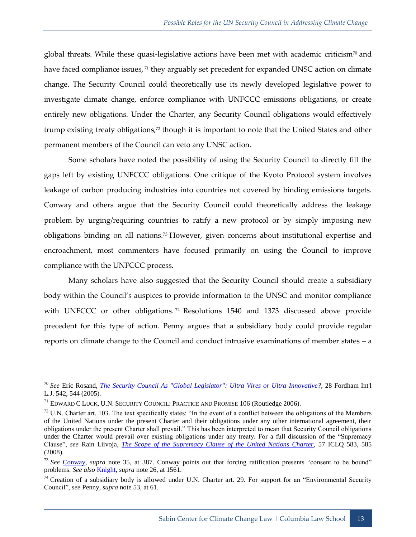global threats. While these quasi-legislative actions have been met with academic criticism<sup>70</sup> and have faced compliance issues, <sup>71</sup> they arguably set precedent for expanded UNSC action on climate change. The Security Council could theoretically use its newly developed legislative power to investigate climate change, enforce compliance with UNFCCC emissions obligations, or create entirely new obligations. Under the Charter, any Security Council obligations would effectively trump existing treaty obligations,<sup>72</sup> though it is important to note that the United States and other permanent members of the Council can veto any UNSC action.

Some scholars have noted the possibility of using the Security Council to directly fill the gaps left by existing UNFCCC obligations. One critique of the Kyoto Protocol system involves leakage of carbon producing industries into countries not covered by binding emissions targets. Conway and others argue that the Security Council could theoretically address the leakage problem by urging/requiring countries to ratify a new protocol or by simply imposing new obligations binding on all nations.<sup>73</sup> However, given concerns about institutional expertise and encroachment, most commenters have focused primarily on using the Council to improve compliance with the UNFCCC process.

Many scholars have also suggested that the Security Council should create a subsidiary body within the Council's auspices to provide information to the UNSC and monitor compliance with UNFCCC or other obligations.<sup>74</sup> Resolutions 1540 and 1373 discussed above provide precedent for this type of action. Penny argues that a subsidiary body could provide regular reports on climate change to the Council and conduct intrusive examinations of member states – a

<sup>70</sup> *See* Eric Rosand, *[The Security Council As "Global Legislator": Ultra Vires or Ultra](http://ir.lawnet.fordham.edu/cgi/viewcontent.cgi?article=1964&context=ilj) Innovative?*, 28 Fordham Int'l L.J. 542, 544 (2005).

 $^{71}$  EDWARD C LUCK, U.N. SECURITY COUNCIL: PRACTICE AND PROMISE 106 (Routledge 2006).

 $<sup>72</sup>$  U.N. Charter art. 103. The text specifically states: "In the event of a conflict between the obligations of the Members</sup> of the United Nations under the present Charter and their obligations under any other international agreement, their obligations under the present Charter shall prevail." This has been interpreted to mean that Security Council obligations under the Charter would prevail over existing obligations under any treaty. For a full discussion of the "Supremacy Clause", *see* Rain Liivoja, *[The Scope of the Supremacy Clause of the United Nations Charter](http://works.bepress.com/rain_liivoja/6/)*, 57 ICLQ 583, 585 (2008).

<sup>73</sup> *See* [Conway,](http://www.researchgate.net/publication/228747778_The_United_Nations_Security_Council_and_climate_change_Challenges_and_opportunities) *supra* note 35, at 387. Conway points out that forcing ratification presents "consent to be bound" problems. *See also* [Knight,](http://www.nyulawreview.org/sites/default/files/pdf/NYULawReview-80-5-Knight.pdf) *supra* note 26, at 1561.

 $74$  Creation of a subsidiary body is allowed under U.N. Charter art. 29. For support for an "Environmental Security Council", *see* Penny, *supra* note 53, at 61.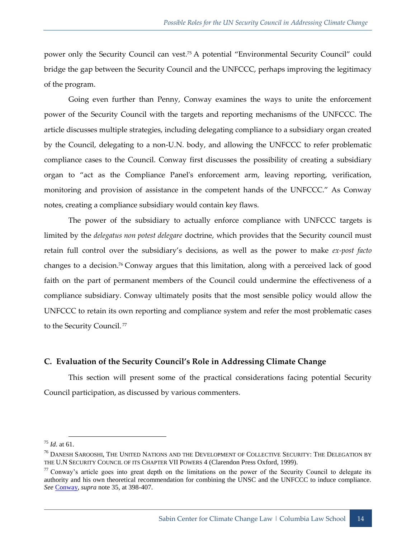power only the Security Council can vest.<sup>75</sup> A potential "Environmental Security Council" could bridge the gap between the Security Council and the UNFCCC, perhaps improving the legitimacy of the program.

Going even further than Penny, Conway examines the ways to unite the enforcement power of the Security Council with the targets and reporting mechanisms of the UNFCCC. The article discusses multiple strategies, including delegating compliance to a subsidiary organ created by the Council, delegating to a non-U.N. body, and allowing the UNFCCC to refer problematic compliance cases to the Council. Conway first discusses the possibility of creating a subsidiary organ to "act as the Compliance Panel's enforcement arm, leaving reporting, verification, monitoring and provision of assistance in the competent hands of the UNFCCC." As Conway notes, creating a compliance subsidiary would contain key flaws.

The power of the subsidiary to actually enforce compliance with UNFCCC targets is limited by the *delegatus non potest delegare* doctrine, which provides that the Security council must retain full control over the subsidiary's decisions, as well as the power to make *ex-post facto* changes to a decision.<sup>76</sup> Conway argues that this limitation, along with a perceived lack of good faith on the part of permanent members of the Council could undermine the effectiveness of a compliance subsidiary. Conway ultimately posits that the most sensible policy would allow the UNFCCC to retain its own reporting and compliance system and refer the most problematic cases to the Security Council.<sup>77</sup>

## <span id="page-17-0"></span>**C. Evaluation of the Security Council's Role in Addressing Climate Change**

This section will present some of the practical considerations facing potential Security Council participation, as discussed by various commenters.

<sup>75</sup> *Id*. at 61.

<sup>&</sup>lt;sup>76</sup> DANESH SAROOSHI, THE UNITED NATIONS AND THE DEVELOPMENT OF COLLECTIVE SECURITY: THE DELEGATION BY THE U.N SECURITY COUNCIL OF ITS CHAPTER VII POWERS 4 (Clarendon Press Oxford, 1999).

 $77$  Conway's article goes into great depth on the limitations on the power of the Security Council to delegate its authority and his own theoretical recommendation for combining the UNSC and the UNFCCC to induce compliance. *See* [Conway,](http://www.researchgate.net/publication/228747778_The_United_Nations_Security_Council_and_climate_change_Challenges_and_opportunities) *supra* note 35, at 398-407.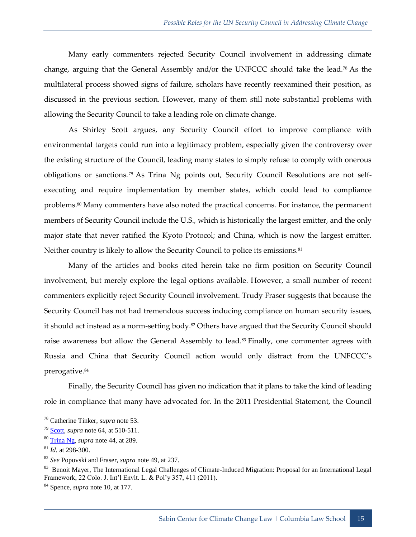Many early commenters rejected Security Council involvement in addressing climate change, arguing that the General Assembly and/or the UNFCCC should take the lead.<sup>78</sup> As the multilateral process showed signs of failure, scholars have recently reexamined their position, as discussed in the previous section. However, many of them still note substantial problems with allowing the Security Council to take a leading role on climate change.

As Shirley Scott argues, any Security Council effort to improve compliance with environmental targets could run into a legitimacy problem, especially given the controversy over the existing structure of the Council, leading many states to simply refuse to comply with onerous obligations or sanctions.<sup>79</sup> As Trina Ng points out, Security Council Resolutions are not selfexecuting and require implementation by member states, which could lead to compliance problems.<sup>80</sup> Many commenters have also noted the practical concerns. For instance, the permanent members of Security Council include the U.S., which is historically the largest emitter, and the only major state that never ratified the Kyoto Protocol; and China, which is now the largest emitter. Neither country is likely to allow the Security Council to police its emissions.<sup>81</sup>

Many of the articles and books cited herein take no firm position on Security Council involvement, but merely explore the legal options available. However, a small number of recent commenters explicitly reject Security Council involvement. Trudy Fraser suggests that because the Security Council has not had tremendous success inducing compliance on human security issues, it should act instead as a norm-setting body.<sup>82</sup> Others have argued that the Security Council should raise awareness but allow the General Assembly to lead.<sup>83</sup> Finally, one commenter agrees with Russia and China that Security Council action would only distract from the UNFCCC's prerogative.<sup>84</sup>

Finally, the Security Council has given no indication that it plans to take the kind of leading role in compliance that many have advocated for. In the 2011 Presidential Statement, the Council

<sup>78</sup> Catherine Tinker, *supra* note 53.

<sup>79</sup> [Scott,](https://www.law.unimelb.edu.au/files/dmfile/download969f1.pdf) *supra* note 64, at 510-511.

<sup>80</sup> [Trina Ng,](http://jcsl.oxfordjournals.org/content/15/2/275.full.pdf+html) *supra* note 44, at 289.

<sup>81</sup> *Id.* at 298-300.

<sup>82</sup> *See* Popovski and Fraser, *supra* note 49, at 237.

<sup>&</sup>lt;sup>83</sup> Benoit Mayer, The International Legal Challenges of Climate-Induced Migration: Proposal for an International Legal Framework, 22 Colo. J. Int'l Envlt. L. & Pol'y 357, 411 (2011).

<sup>84</sup> Spence, *supra* note 10, at 177.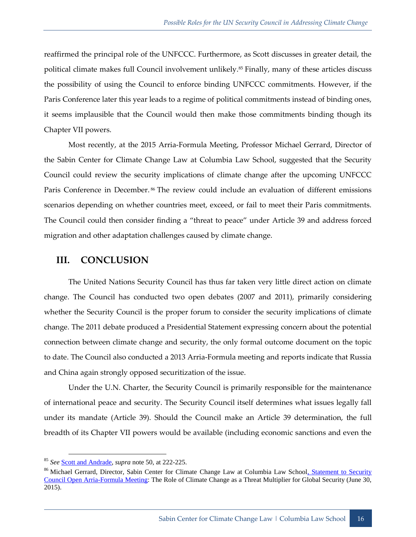reaffirmed the principal role of the UNFCCC. Furthermore, as Scott discusses in greater detail, the political climate makes full Council involvement unlikely.<sup>85</sup> Finally, many of these articles discuss the possibility of using the Council to enforce binding UNFCCC commitments. However, if the Paris Conference later this year leads to a regime of political commitments instead of binding ones, it seems implausible that the Council would then make those commitments binding though its Chapter VII powers.

Most recently, at the 2015 Arria-Formula Meeting, Professor Michael Gerrard, Director of the Sabin Center for Climate Change Law at Columbia Law School, suggested that the Security Council could review the security implications of climate change after the upcoming UNFCCC Paris Conference in December.<sup>86</sup> The review could include an evaluation of different emissions scenarios depending on whether countries meet, exceed, or fail to meet their Paris commitments. The Council could then consider finding a "threat to peace" under Article 39 and address forced migration and other adaptation challenges caused by climate change.

## <span id="page-19-0"></span>**III. CONCLUSION**

The United Nations Security Council has thus far taken very little direct action on climate change. The Council has conducted two open debates (2007 and 2011), primarily considering whether the Security Council is the proper forum to consider the security implications of climate change. The 2011 debate produced a Presidential Statement expressing concern about the potential connection between climate change and security, the only formal outcome document on the topic to date. The Council also conducted a 2013 Arria-Formula meeting and reports indicate that Russia and China again strongly opposed securitization of the issue.

Under the U.N. Charter, the Security Council is primarily responsible for the maintenance of international peace and security. The Security Council itself determines what issues legally fall under its mandate (Article 39). Should the Council make an Article 39 determination, the full breadth of its Chapter VII powers would be available (including economic sanctions and even the

<sup>85</sup> *See* [Scott and Andrade,](http://www.academia.edu/11935688/with_Shirley_V._Scott_The_Global_Response_to_Climate_Change_Can_the_Security_Council_Assume_a_Lead_Role) *supra* note 50, at 222-225.

<sup>&</sup>lt;sup>86</sup> Michael Gerrard, Director, Sabin Center for Climate Change Law at Columbia Law School<u>, Statement to Security</u> [Council Open Arria-Formula Meeting:](http://www.spainun.org/wp-content/uploads/2015/07/Michael-Gerrard_CC_201506.pdf) The Role of Climate Change as a Threat Multiplier for Global Security (June 30, 2015).